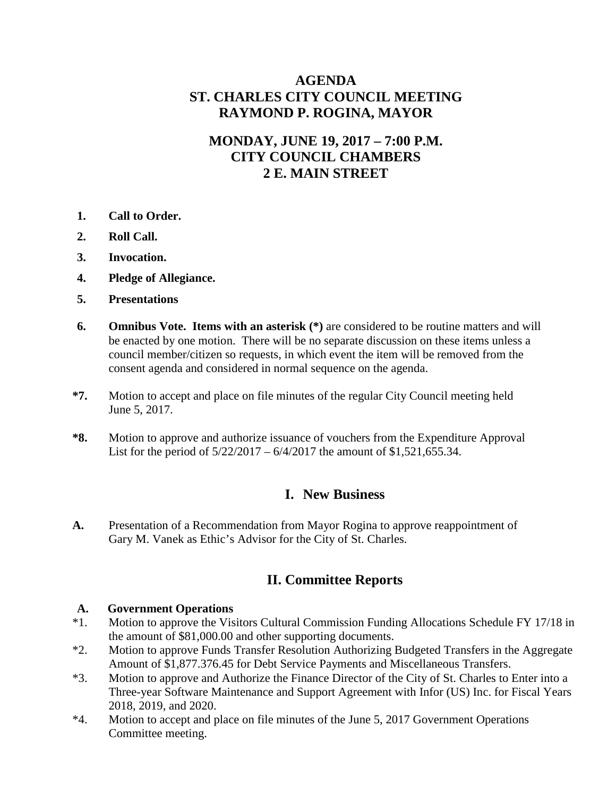## **AGENDA ST. CHARLES CITY COUNCIL MEETING RAYMOND P. ROGINA, MAYOR**

## **MONDAY, JUNE 19, 2017 – 7:00 P.M. CITY COUNCIL CHAMBERS 2 E. MAIN STREET**

- **1. Call to Order.**
- **2. Roll Call.**
- **3. Invocation.**
- **4. Pledge of Allegiance.**
- **5. Presentations**
- **6. Omnibus Vote. Items with an asterisk (\*)** are considered to be routine matters and will be enacted by one motion. There will be no separate discussion on these items unless a council member/citizen so requests, in which event the item will be removed from the consent agenda and considered in normal sequence on the agenda.
- **\*7.** Motion to accept and place on file minutes of the regular City Council meeting held June 5, 2017.
- **\*8.** Motion to approve and authorize issuance of vouchers from the Expenditure Approval List for the period of 5/22/2017 – 6/4/2017 the amount of \$1,521,655.34.

### **I. New Business**

**A.** Presentation of a Recommendation from Mayor Rogina to approve reappointment of Gary M. Vanek as Ethic's Advisor for the City of St. Charles.

## **II. Committee Reports**

# **A. Government Operations** \*1. Motion to approve the Vis

- Motion to approve the Visitors Cultural Commission Funding Allocations Schedule FY 17/18 in the amount of \$81,000.00 and other supporting documents.
- \*2. Motion to approve Funds Transfer Resolution Authorizing Budgeted Transfers in the Aggregate Amount of \$1,877.376.45 for Debt Service Payments and Miscellaneous Transfers.
- \*3. Motion to approve and Authorize the Finance Director of the City of St. Charles to Enter into a Three-year Software Maintenance and Support Agreement with Infor (US) Inc. for Fiscal Years 2018, 2019, and 2020.
- \*4. Motion to accept and place on file minutes of the June 5, 2017 Government Operations Committee meeting.